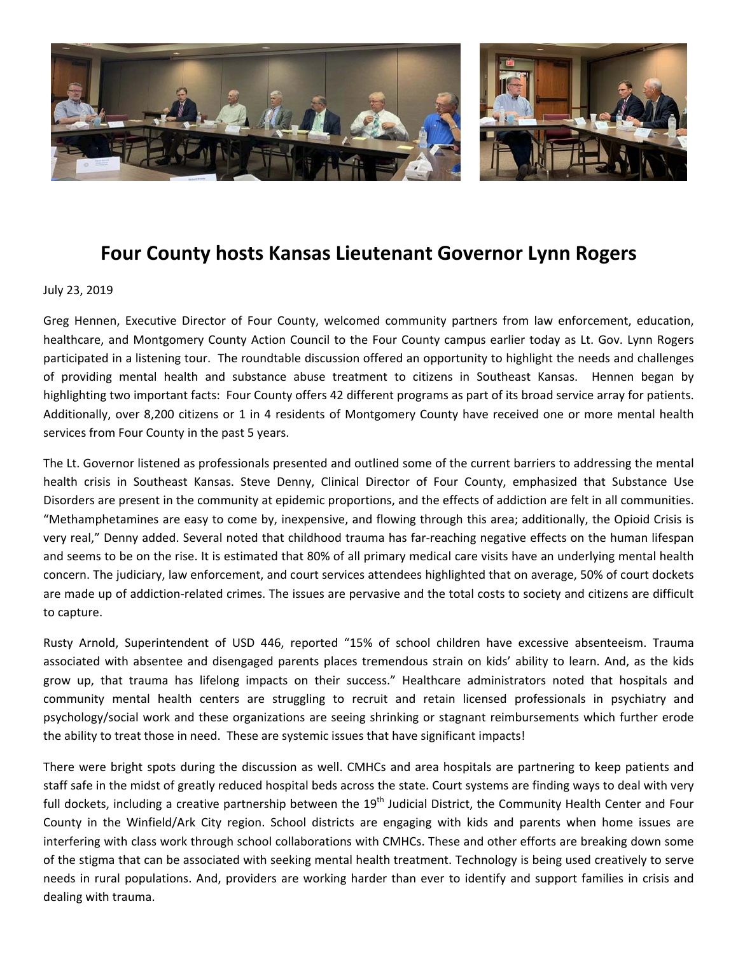

## **Four County hosts Kansas Lieutenant Governor Lynn Rogers**

## July 23, 2019

Greg Hennen, Executive Director of Four County, welcomed community partners from law enforcement, education, healthcare, and Montgomery County Action Council to the Four County campus earlier today as Lt. Gov. Lynn Rogers participated in a listening tour. The roundtable discussion offered an opportunity to highlight the needs and challenges of providing mental health and substance abuse treatment to citizens in Southeast Kansas. Hennen began by highlighting two important facts: Four County offers 42 different programs as part of its broad service array for patients. Additionally, over 8,200 citizens or 1 in 4 residents of Montgomery County have received one or more mental health services from Four County in the past 5 years.

The Lt. Governor listened as professionals presented and outlined some of the current barriers to addressing the mental health crisis in Southeast Kansas. Steve Denny, Clinical Director of Four County, emphasized that Substance Use Disorders are present in the community at epidemic proportions, and the effects of addiction are felt in all communities. "Methamphetamines are easy to come by, inexpensive, and flowing through this area; additionally, the Opioid Crisis is very real," Denny added. Several noted that childhood trauma has far-reaching negative effects on the human lifespan and seems to be on the rise. It is estimated that 80% of all primary medical care visits have an underlying mental health concern. The judiciary, law enforcement, and court services attendees highlighted that on average, 50% of court dockets are made up of addiction-related crimes. The issues are pervasive and the total costs to society and citizens are difficult to capture.

Rusty Arnold, Superintendent of USD 446, reported "15% of school children have excessive absenteeism. Trauma associated with absentee and disengaged parents places tremendous strain on kids' ability to learn. And, as the kids grow up, that trauma has lifelong impacts on their success." Healthcare administrators noted that hospitals and community mental health centers are struggling to recruit and retain licensed professionals in psychiatry and psychology/social work and these organizations are seeing shrinking or stagnant reimbursements which further erode the ability to treat those in need. These are systemic issues that have significant impacts!

There were bright spots during the discussion as well. CMHCs and area hospitals are partnering to keep patients and staff safe in the midst of greatly reduced hospital beds across the state. Court systems are finding ways to deal with very full dockets, including a creative partnership between the  $19<sup>th</sup>$  Judicial District, the Community Health Center and Four County in the Winfield/Ark City region. School districts are engaging with kids and parents when home issues are interfering with class work through school collaborations with CMHCs. These and other efforts are breaking down some of the stigma that can be associated with seeking mental health treatment. Technology is being used creatively to serve needs in rural populations. And, providers are working harder than ever to identify and support families in crisis and dealing with trauma.